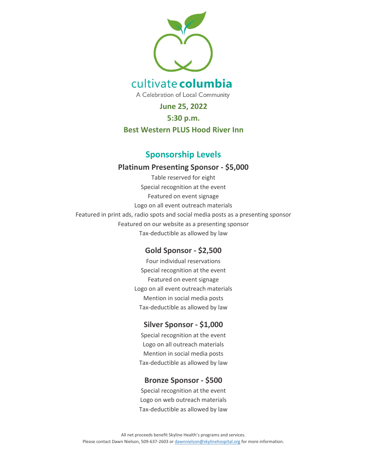

**June 25, 2022**

#### **5:30 p.m.**

### **Best Western PLUS Hood River Inn**

# **Sponsorship Levels**

### **Platinum Presenting Sponsor - \$5,000**

Table reserved for eight Special recognition at the event Featured on event signage Logo on all event outreach materials Featured in print ads, radio spots and social media posts as a presenting sponsor Featured on our website as a presenting sponsor Tax-deductible as allowed by law

# **Gold Sponsor - \$2,500**

Four individual reservations Special recognition at the event Featured on event signage Logo on all event outreach materials Mention in social media posts Tax-deductible as allowed by law

# **Silver Sponsor - \$1,000**

Special recognition at the event Logo on all outreach materials Mention in social media posts Tax-deductible as allowed by law

# **Bronze Sponsor - \$500**

Special recognition at the event Logo on web outreach materials Tax-deductible as allowed by law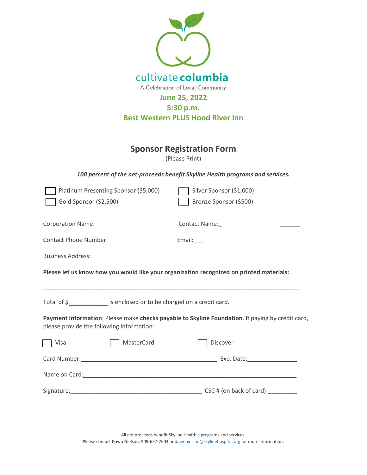